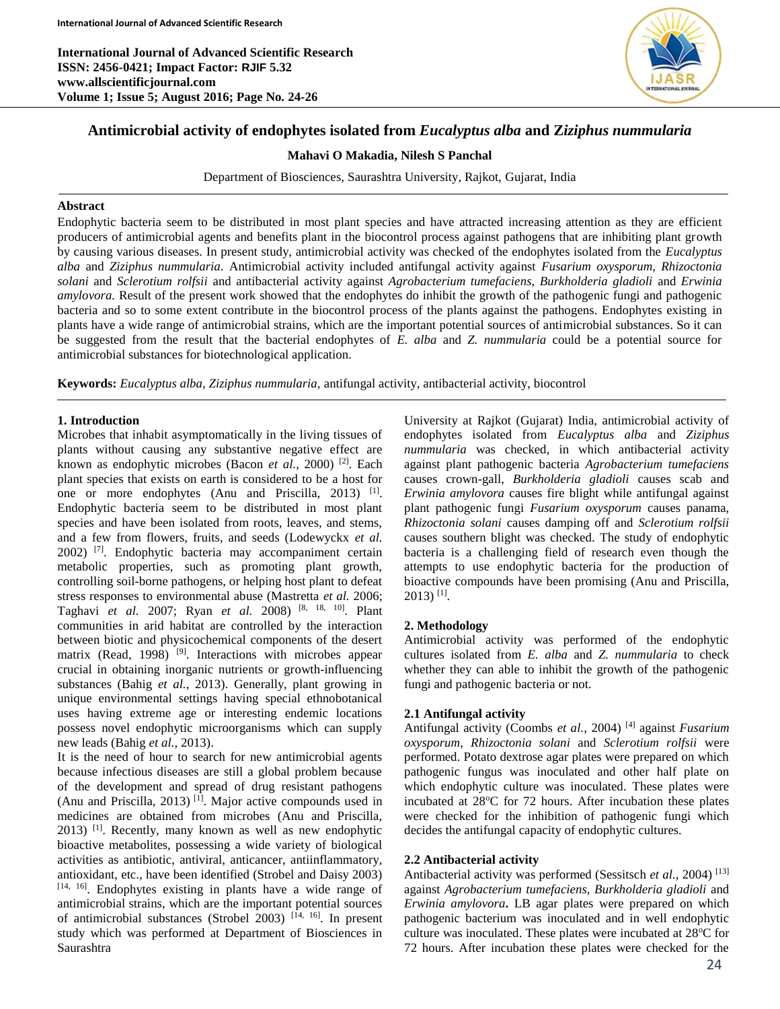**International Journal of Advanced Scientific Research ISSN: 2456-0421; Impact Factor: RJIF 5.32 www.allscientificjournal.com Volume 1; Issue 5; August 2016; Page No. 24-26**



# **Antimicrobial activity of endophytes isolated from** *Eucalyptus alba* **and Z***iziphus nummularia*

**Mahavi O Makadia, Nilesh S Panchal**

Department of Biosciences, Saurashtra University, Rajkot, Gujarat, India

#### **Abstract**

Endophytic bacteria seem to be distributed in most plant species and have attracted increasing attention as they are efficient producers of antimicrobial agents and benefits plant in the biocontrol process against pathogens that are inhibiting plant growth by causing various diseases. In present study, antimicrobial activity was checked of the endophytes isolated from the *Eucalyptus alba* and *Ziziphus nummularia*. Antimicrobial activity included antifungal activity against *Fusarium oxysporum, Rhizoctonia solani* and *Sclerotium rolfsii* and antibacterial activity against *Agrobacterium tumefaciens, Burkholderia gladioli* and *Erwinia amylovora.* Result of the present work showed that the endophytes do inhibit the growth of the pathogenic fungi and pathogenic bacteria and so to some extent contribute in the biocontrol process of the plants against the pathogens. Endophytes existing in plants have a wide range of antimicrobial strains, which are the important potential sources of antimicrobial substances. So it can be suggested from the result that the bacterial endophytes of *E. alba* and *Z. nummularia* could be a potential source for antimicrobial substances for biotechnological application.

**Keywords:** *Eucalyptus alba, Ziziphus nummularia,* antifungal activity, antibacterial activity, biocontrol

# **1. Introduction**

Microbes that inhabit asymptomatically in the living tissues of plants without causing any substantive negative effect are known as endophytic microbes (Bacon *et al.*, 2000)<sup>[2]</sup>. Each plant species that exists on earth is considered to be a host for one or more endophytes (Anu and Priscilla,  $2013$ )<sup>[1]</sup>. Endophytic bacteria seem to be distributed in most plant species and have been isolated from roots, leaves, and stems, and a few from flowers, fruits, and seeds (Lodewyckx *et al.* 2002) [7] . Endophytic bacteria may accompaniment certain metabolic properties, such as promoting plant growth, controlling soil-borne pathogens, or helping host plant to defeat stress responses to environmental abuse (Mastretta *et al.* 2006; Taghavi *et al.* 2007; Ryan *et al.* 2008) [8, 18, 10] . Plant communities in arid habitat are controlled by the interaction between biotic and physicochemical components of the desert matrix (Read, 1998)<sup>[9]</sup>. Interactions with microbes appear crucial in obtaining inorganic nutrients or growth-influencing substances (Bahig *et al.*, 2013). Generally, plant growing in unique environmental settings having special ethnobotanical uses having extreme age or interesting endemic locations possess novel endophytic microorganisms which can supply new leads (Bahig *et al.*, 2013).

It is the need of hour to search for new antimicrobial agents because infectious diseases are still a global problem because of the development and spread of drug resistant pathogens (Anu and Priscilla, 2013)<sup>[1]</sup>. Major active compounds used in medicines are obtained from microbes (Anu and Priscilla, 2013) [1]. Recently, many known as well as new endophytic bioactive metabolites, possessing a wide variety of biological activities as antibiotic, antiviral, anticancer, antiinflammatory, antioxidant, etc., have been identified (Strobel and Daisy 2003) [14, 16]. Endophytes existing in plants have a wide range of antimicrobial strains, which are the important potential sources of antimicrobial substances (Strobel 2003)<sup>[14, 16]</sup>. In present study which was performed at Department of Biosciences in Saurashtra

University at Rajkot (Gujarat) India, antimicrobial activity of endophytes isolated from *Eucalyptus alba* and *Ziziphus nummularia* was checked, in which antibacterial activity against plant pathogenic bacteria *Agrobacterium tumefaciens* causes crown-gall, *Burkholderia gladioli* causes scab and *Erwinia amylovora* causes fire blight while antifungal against plant pathogenic fungi *Fusarium oxysporum* causes panama*, Rhizoctonia solani* causes damping off and *Sclerotium rolfsii* causes southern blight was checked. The study of endophytic bacteria is a challenging field of research even though the attempts to use endophytic bacteria for the production of bioactive compounds have been promising (Anu and Priscilla,  $2013$ )<sup>[1]</sup>.

# **2. Methodology**

Antimicrobial activity was performed of the endophytic cultures isolated from *E. alba* and *Z. nummularia* to check whether they can able to inhibit the growth of the pathogenic fungi and pathogenic bacteria or not.

# **2.1 Antifungal activity**

Antifungal activity (Coombs et al., 2004)<sup>[4]</sup> against *Fusarium oxysporum, Rhizoctonia solani* and *Sclerotium rolfsii* were performed. Potato dextrose agar plates were prepared on which pathogenic fungus was inoculated and other half plate on which endophytic culture was inoculated. These plates were incubated at 28°C for 72 hours. After incubation these plates were checked for the inhibition of pathogenic fungi which decides the antifungal capacity of endophytic cultures.

#### **2.2 Antibacterial activity**

Antibacterial activity was performed (Sessitsch et al., 2004)<sup>[13]</sup> against *Agrobacterium tumefaciens, Burkholderia gladioli* and *Erwinia amylovora***.** LB agar plates were prepared on which pathogenic bacterium was inoculated and in well endophytic culture was inoculated. These plates were incubated at 28<sup>o</sup>C for 72 hours. After incubation these plates were checked for the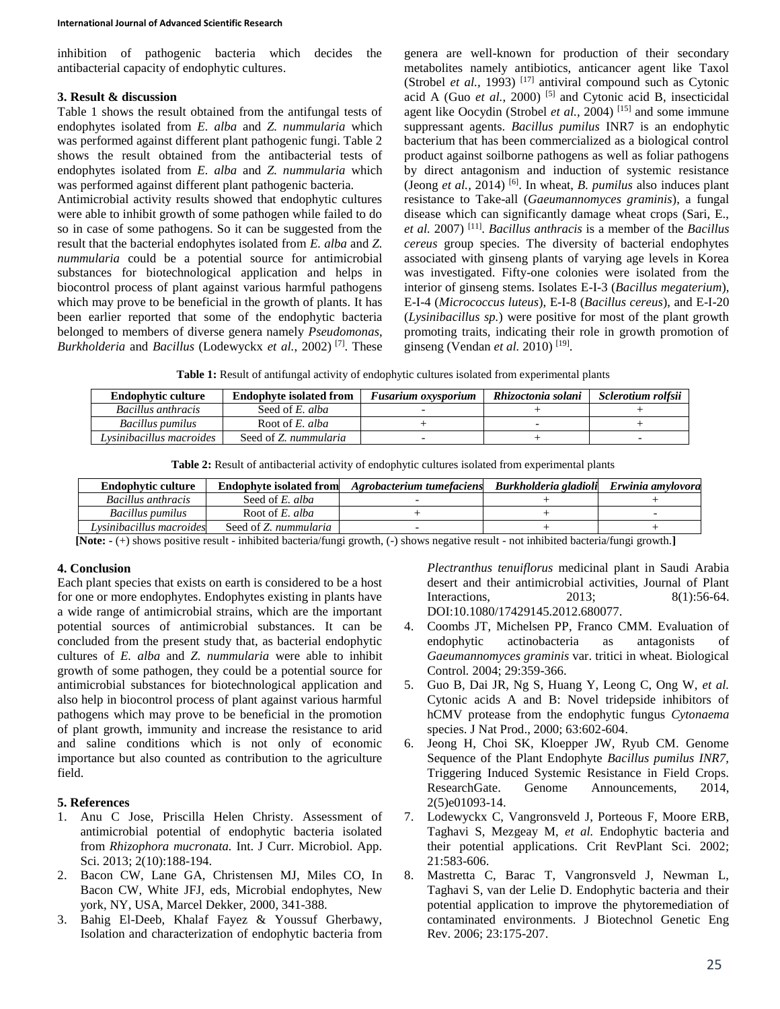inhibition of pathogenic bacteria which decides the antibacterial capacity of endophytic cultures.

#### **3. Result & discussion**

Table 1 shows the result obtained from the antifungal tests of endophytes isolated from *E. alba* and *Z. nummularia* which was performed against different plant pathogenic fungi. Table 2 shows the result obtained from the antibacterial tests of endophytes isolated from *E. alba* and *Z. nummularia* which was performed against different plant pathogenic bacteria.

Antimicrobial activity results showed that endophytic cultures were able to inhibit growth of some pathogen while failed to do so in case of some pathogens. So it can be suggested from the result that the bacterial endophytes isolated from *E. alba* and *Z. nummularia* could be a potential source for antimicrobial substances for biotechnological application and helps in biocontrol process of plant against various harmful pathogens which may prove to be beneficial in the growth of plants. It has been earlier reported that some of the endophytic bacteria belonged to members of diverse genera namely *Pseudomonas*, *Burkholderia* and *Bacillus* (Lodewyckx *et al.*, 2002) [7] . These

genera are well-known for production of their secondary metabolites namely antibiotics, anticancer agent like Taxol (Strobel *et al.,* 1993)<sup>[17]</sup> antiviral compound such as Cytonic acid A (Guo *et al.*, 2000) [5] and Cytonic acid B, insecticidal agent like Oocydin (Strobel *et al.,* 2004) [15] and some immune suppressant agents. *Bacillus pumilus* INR7 is an endophytic bacterium that has been commercialized as a biological control product against soilborne pathogens as well as foliar pathogens by direct antagonism and induction of systemic resistance (Jeong *et al.,* 2014) [6]. In wheat, *B. pumilus* also induces plant resistance to Take-all (*Gaeumannomyces graminis*), a fungal disease which can significantly damage wheat crops (Sari, E., *et al.* 2007) [11] . *Bacillus anthracis* is a member of the *Bacillus cereus* group species. The diversity of bacterial endophytes associated with ginseng plants of varying age levels in Korea was investigated. Fifty-one colonies were isolated from the interior of ginseng stems. Isolates E-I-3 (*Bacillus megaterium*), E-I-4 (*Micrococcus luteus*), E-I-8 (*Bacillus cereus*), and E-I-20 (*Lysinibacillus sp.*) were positive for most of the plant growth promoting traits, indicating their role in growth promotion of ginseng (Vendan *et al.* 2010)<sup>[19]</sup>.

**Table 1:** Result of antifungal activity of endophytic cultures isolated from experimental plants

| <b>Endophytic culture</b> | <b>Endophyte isolated from</b> | <b>Fusarium oxysporium</b> | Rhizoctonia solani | Sclerotium rolfsii |
|---------------------------|--------------------------------|----------------------------|--------------------|--------------------|
| Bacillus anthracis        | Seed of E. alba                |                            |                    |                    |
| Bacillus pumilus          | Root of E. alba                |                            |                    |                    |
| Lysinibacillus macroides  | Seed of Z. nummularia          |                            |                    |                    |

|--|

| <b>Endophytic culture</b> | <b>Endophyte isolated from</b> | Agrobacterium tumefaciens | Burkholderia gladioli | Erwinia amvlovora |
|---------------------------|--------------------------------|---------------------------|-----------------------|-------------------|
| Bacillus anthracis        | Seed of E. alba                |                           |                       |                   |
| Bacillus pumilus          | Root of E. alba                |                           |                       |                   |
| Lysinibacillus macroides  | Seed of Z. nummularia          |                           |                       |                   |

**[Note: -** (+) shows positive result - inhibited bacteria/fungi growth, (-) shows negative result - not inhibited bacteria/fungi growth.**]**

# **4. Conclusion**

Each plant species that exists on earth is considered to be a host for one or more endophytes. Endophytes existing in plants have a wide range of antimicrobial strains, which are the important potential sources of antimicrobial substances. It can be concluded from the present study that, as bacterial endophytic cultures of *E. alba* and *Z. nummularia* were able to inhibit growth of some pathogen, they could be a potential source for antimicrobial substances for biotechnological application and also help in biocontrol process of plant against various harmful pathogens which may prove to be beneficial in the promotion of plant growth, immunity and increase the resistance to arid and saline conditions which is not only of economic importance but also counted as contribution to the agriculture field.

#### **5. References**

- 1. Anu C Jose, Priscilla Helen Christy. Assessment of antimicrobial potential of endophytic bacteria isolated from *Rhizophora mucronata.* Int. J Curr. Microbiol. App. Sci. 2013; 2(10):188-194.
- 2. Bacon CW, Lane GA, Christensen MJ, Miles CO, In Bacon CW, White JFJ, eds, Microbial endophytes, New york, NY, USA, Marcel Dekker, 2000, 341-388.
- 3. Bahig El-Deeb, Khalaf Fayez & Youssuf Gherbawy, Isolation and characterization of endophytic bacteria from

*Plectranthus tenuiflorus* medicinal plant in Saudi Arabia desert and their antimicrobial activities, Journal of Plant Interactions, 2013; 8(1):56-64. DOI:10.1080/17429145.2012.680077.

- 4. Coombs JT, Michelsen PP, Franco CMM. Evaluation of endophytic actinobacteria as antagonists of *Gaeumannomyces graminis* var. tritici in wheat. Biological Control*.* 2004; 29:359-366.
- 5. Guo B, Dai JR, Ng S, Huang Y, Leong C, Ong W, *et al.* Cytonic acids A and B: Novel tridepside inhibitors of hCMV protease from the endophytic fungus *Cytonaema*  species. J Nat Prod., 2000; 63:602-604.
- 6. Jeong H, Choi SK, Kloepper JW, Ryub CM. Genome Sequence of the Plant Endophyte *Bacillus pumilus INR7,*  Triggering Induced Systemic Resistance in Field Crops. ResearchGate. Genome Announcements, 2014, 2(5)e01093-14.
- 7. Lodewyckx C, Vangronsveld J, Porteous F, Moore ERB, Taghavi S, Mezgeay M, *et al.* Endophytic bacteria and their potential applications. Crit RevPlant Sci. 2002; 21:583-606.
- 8. Mastretta C, Barac T, Vangronsveld J, Newman L, Taghavi S, van der Lelie D. Endophytic bacteria and their potential application to improve the phytoremediation of contaminated environments. J Biotechnol Genetic Eng Rev. 2006; 23:175-207.